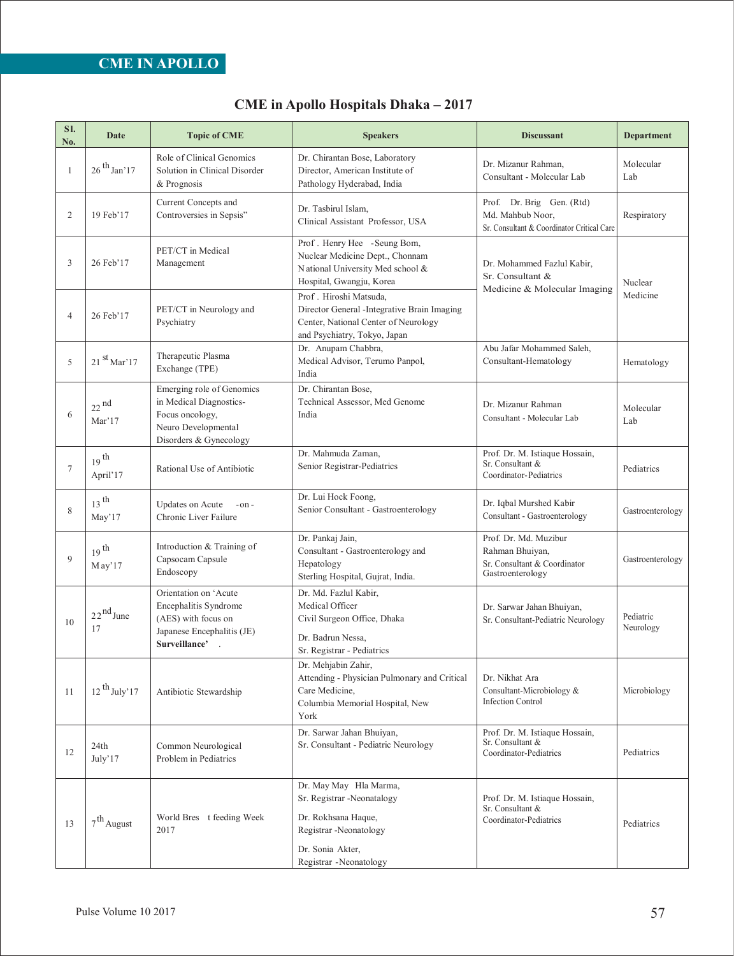| SI.<br>No.   | Date                            | <b>Topic of CME</b>                                                                                                      | <b>Speakers</b>                                                                                                                                      | <b>Discussant</b>                                                                            | <b>Department</b>      |
|--------------|---------------------------------|--------------------------------------------------------------------------------------------------------------------------|------------------------------------------------------------------------------------------------------------------------------------------------------|----------------------------------------------------------------------------------------------|------------------------|
| $\mathbf{1}$ | $26^{th}$ Jan' 17               | Role of Clinical Genomics<br>Solution in Clinical Disorder<br>& Prognosis                                                | Dr. Chirantan Bose, Laboratory<br>Director, American Institute of<br>Pathology Hyderabad, India                                                      | Dr. Mizanur Rahman.<br>Consultant - Molecular Lab                                            | Molecular<br>Lab       |
| 2            | 19 Feb'17                       | Current Concepts and<br>Controversies in Sepsis"                                                                         | Dr. Tasbirul Islam,<br>Clinical Assistant Professor, USA                                                                                             | Prof. Dr. Brig Gen. (Rtd)<br>Md. Mahbub Noor,<br>Sr. Consultant & Coordinator Critical Care  | Respiratory            |
| 3            | 26 Feb'17                       | PET/CT in Medical<br>Management                                                                                          | Prof. Henry Hee -Seung Bom,<br>Nuclear Medicine Dept., Chonnam<br>National University Med school &<br>Hospital, Gwangju, Korea                       | Dr. Mohammed Fazlul Kabir,<br>Sr. Consultant &<br>Medicine & Molecular Imaging               | Nuclear                |
| 4            | 26 Feb'17                       | PET/CT in Neurology and<br>Psychiatry                                                                                    | Prof. Hiroshi Matsuda,<br>Director General -Integrative Brain Imaging<br>Center, National Center of Neurology<br>and Psychiatry, Tokyo, Japan        |                                                                                              | Medicine               |
| 5            | $21^{st}$ Mar'17                | Therapeutic Plasma<br>Exchange (TPE)                                                                                     | Dr. Anupam Chabbra,<br>Medical Advisor, Terumo Panpol,<br>India                                                                                      | Abu Jafar Mohammed Saleh,<br>Consultant-Hematology                                           | Hematology             |
| 6            | $22$ <sup>nd</sup><br>Mar'17    | Emerging role of Genomics<br>in Medical Diagnostics-<br>Focus oncology,<br>Neuro Developmental<br>Disorders & Gynecology | Dr. Chirantan Bose,<br>Technical Assessor, Med Genome<br>India                                                                                       | Dr. Mizanur Rahman<br>Consultant - Molecular Lab                                             | Molecular<br>Lab       |
| 7            | $19$ <sup>th</sup><br>April'17  | Rational Use of Antibiotic                                                                                               | Dr. Mahmuda Zaman.<br>Senior Registrar-Pediatrics                                                                                                    | Prof. Dr. M. Istiaque Hossain,<br>Sr. Consultant &<br>Coordinator-Pediatrics                 | Pediatrics             |
| 8            | $13$ <sup>th</sup><br>May'17    | Updates on Acute<br>$-on-$<br>Chronic Liver Failure                                                                      | Dr. Lui Hock Foong,<br>Senior Consultant - Gastroenterology                                                                                          | Dr. Iqbal Murshed Kabir<br>Consultant - Gastroenterology                                     | Gastroenterology       |
| 9            | $19$ <sup>th</sup><br>$M$ ay'17 | Introduction & Training of<br>Capsocam Capsule<br>Endoscopy                                                              | Dr. Pankaj Jain,<br>Consultant - Gastroenterology and<br>Hepatology<br>Sterling Hospital, Gujrat, India.                                             | Prof. Dr. Md. Muzibur<br>Rahman Bhuiyan,<br>Sr. Consultant & Coordinator<br>Gastroenterology | Gastroenterology       |
| 10           | $22^{nd}$ June<br>17            | Orientation on 'Acute<br>Encephalitis Syndrome<br>(AES) with focus on<br>Japanese Encephalitis (JE)<br>Surveillance'.    | Dr. Md. Fazlul Kabir,<br>Medical Officer<br>Civil Surgeon Office, Dhaka<br>Dr. Badrun Nessa,<br>Sr. Registrar - Pediatrics                           | Dr. Sarwar Jahan Bhuiyan,<br>Sr. Consultant-Pediatric Neurology                              | Pediatric<br>Neurology |
| 11           | $12^{th}$ July'17               | Antibiotic Stewardship                                                                                                   | Dr. Mehjabin Zahir,<br>Attending - Physician Pulmonary and Critical<br>Care Medicine,<br>Columbia Memorial Hospital, New<br>York                     | Dr. Nikhat Ara<br>Consultant-Microbiology &<br><b>Infection Control</b>                      | Microbiology           |
| 12           | 24th<br>July'17                 | Common Neurological<br>Problem in Pediatrics                                                                             | Dr. Sarwar Jahan Bhuiyan,<br>Sr. Consultant - Pediatric Neurology                                                                                    | Prof. Dr. M. Istiaque Hossain,<br>Sr. Consultant &<br>Coordinator-Pediatrics                 | Pediatrics             |
| 13           | $7^{\mbox{th}}$ August          | World Bres t feeding Week<br>2017                                                                                        | Dr. May May Hla Marma,<br>Sr. Registrar -Neonatalogy<br>Dr. Rokhsana Haque,<br>Registrar -Neonatology<br>Dr. Sonia Akter,<br>Registrar - Neonatology | Prof. Dr. M. Istiaque Hossain,<br>Sr. Consultant &<br>Coordinator-Pediatrics                 | Pediatrics             |